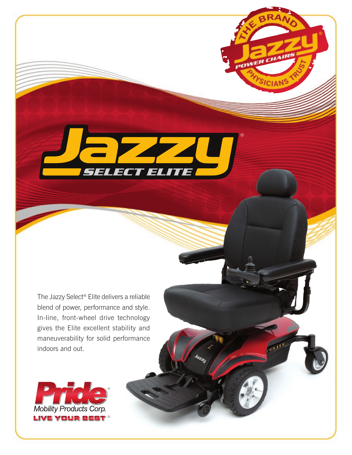The Jazzy Select® Elite delivers a reliable blend of power, performance and style. In-line, front-wheel drive technology gives the Elite excellent stability and maneuverability for solid performance indoors and out.